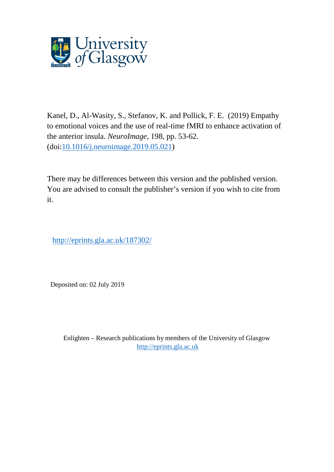

Kanel, D., Al-Wasity, S., Stefanov, K. and Pollick, F. E. (2019) Empathy to emotional voices and the use of real-time fMRI to enhance activation of the anterior insula. *NeuroImage*, 198, pp. 53-62. (doi[:10.1016/j.neuroimage.2019.05.021\)](http://dx.doi.org/10.1016/j.neuroimage.2019.05.021)

There may be differences between this version and the published version. You are advised to consult the publisher's version if you wish to cite from it.

http://eprints.gla.ac.uk/187302/

Deposited on: 02 July 2019

Enlighten – Research publications by members of the University of Glasgow [http://eprints.gla.ac.uk](http://eprints.gla.ac.uk/)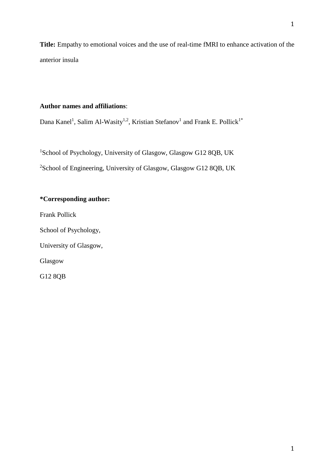**Title:** Empathy to emotional voices and the use of real-time fMRI to enhance activation of the anterior insula

## **Author names and affiliations**:

Dana Kanel<sup>1</sup>, Salim Al-Wasity<sup>1,2</sup>, Kristian Stefanov<sup>1</sup> and Frank E. Pollick<sup>1\*</sup>

<sup>1</sup>School of Psychology, University of Glasgow, Glasgow G12 8QB, UK <sup>2</sup>School of Engineering, University of Glasgow, Glasgow G12 8QB, UK

# **\*Corresponding author:**

Frank Pollick

School of Psychology,

University of Glasgow,

Glasgow

G12 8QB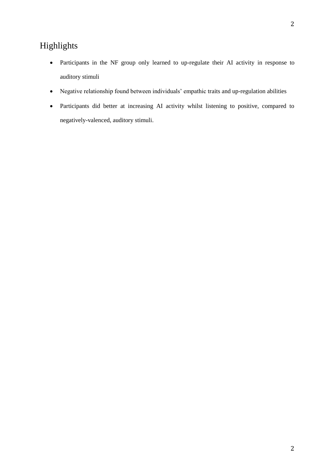# Highlights

- Participants in the NF group only learned to up-regulate their AI activity in response to auditory stimuli
- Negative relationship found between individuals' empathic traits and up-regulation abilities
- Participants did better at increasing AI activity whilst listening to positive, compared to negatively-valenced, auditory stimuli.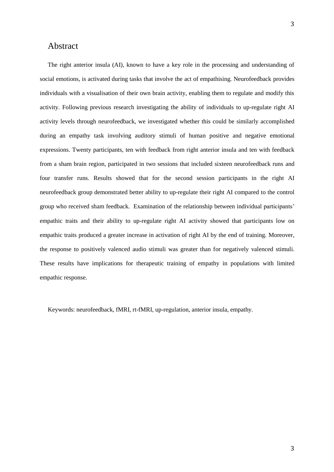# Abstract

The right anterior insula (AI), known to have a key role in the processing and understanding of social emotions, is activated during tasks that involve the act of empathising. Neurofeedback provides individuals with a visualisation of their own brain activity, enabling them to regulate and modify this activity. Following previous research investigating the ability of individuals to up-regulate right AI activity levels through neurofeedback, we investigated whether this could be similarly accomplished during an empathy task involving auditory stimuli of human positive and negative emotional expressions. Twenty participants, ten with feedback from right anterior insula and ten with feedback from a sham brain region, participated in two sessions that included sixteen neurofeedback runs and four transfer runs. Results showed that for the second session participants in the right AI neurofeedback group demonstrated better ability to up-regulate their right AI compared to the control group who received sham feedback. Examination of the relationship between individual participants' empathic traits and their ability to up-regulate right AI activity showed that participants low on empathic traits produced a greater increase in activation of right AI by the end of training. Moreover, the response to positively valenced audio stimuli was greater than for negatively valenced stimuli. These results have implications for therapeutic training of empathy in populations with limited empathic response.

Keywords: neurofeedback, fMRI, rt-fMRI, up-regulation, anterior insula, empathy.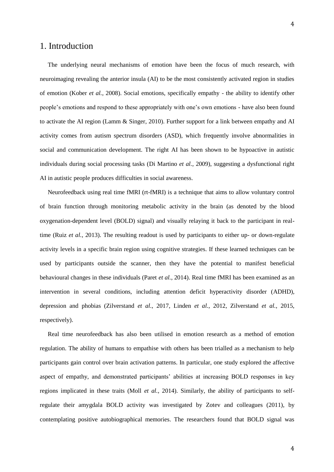# 1. Introduction

The underlying neural mechanisms of emotion have been the focus of much research, with neuroimaging revealing the anterior insula (AI) to be the most consistently activated region in studies of emotion (Kober *et al.*, 2008). Social emotions, specifically empathy - the ability to identify other people's emotions and respond to these appropriately with one's own emotions - have also been found to activate the AI region (Lamm & Singer, 2010). Further support for a link between empathy and AI activity comes from autism spectrum disorders (ASD), which frequently involve abnormalities in social and communication development. The right AI has been shown to be hypoactive in autistic individuals during social processing tasks (Di Martino *et al.*, 2009), suggesting a dysfunctional right AI in autistic people produces difficulties in social awareness.

Neurofeedback using real time fMRI (rt-fMRI) is a technique that aims to allow voluntary control of brain function through monitoring metabolic activity in the brain (as denoted by the blood oxygenation-dependent level (BOLD) signal) and visually relaying it back to the participant in realtime (Ruiz *et al.*, 2013). The resulting readout is used by participants to either up- or down-regulate activity levels in a specific brain region using cognitive strategies. If these learned techniques can be used by participants outside the scanner, then they have the potential to manifest beneficial behavioural changes in these individuals (Paret *et al.*, 2014). Real time fMRI has been examined as an intervention in several conditions, including attention deficit hyperactivity disorder (ADHD), depression and phobias (Zilverstand *et al.*, 2017, Linden *et al.*, 2012, Zilverstand *et al.*, 2015, respectively).

Real time neurofeedback has also been utilised in emotion research as a method of emotion regulation. The ability of humans to empathise with others has been trialled as a mechanism to help participants gain control over brain activation patterns. In particular, one study explored the affective aspect of empathy, and demonstrated participants' abilities at increasing BOLD responses in key regions implicated in these traits (Moll *et al.*, 2014). Similarly, the ability of participants to selfregulate their amygdala BOLD activity was investigated by Zotev and colleagues (2011), by contemplating positive autobiographical memories. The researchers found that BOLD signal was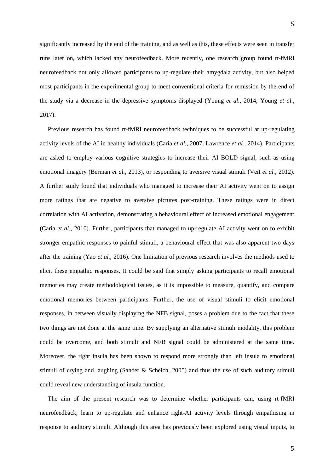significantly increased by the end of the training, and as well as this, these effects were seen in transfer runs later on, which lacked any neurofeedback. More recently, one research group found rt-fMRI neurofeedback not only allowed participants to up-regulate their amygdala activity, but also helped most participants in the experimental group to meet conventional criteria for remission by the end of the study via a decrease in the depressive symptoms displayed (Young *et al.*, 2014; Young *et al.*, 2017).

Previous research has found rt-fMRI neurofeedback techniques to be successful at up-regulating activity levels of the AI in healthy individuals (Caria *et al.*, 2007, Lawrence *et al.*, 2014). Participants are asked to employ various cognitive strategies to increase their AI BOLD signal, such as using emotional imagery (Berman *et al.*, 2013), or responding to aversive visual stimuli (Veit *et al.*, 2012). A further study found that individuals who managed to increase their AI activity went on to assign more ratings that are negative to aversive pictures post-training. These ratings were in direct correlation with AI activation, demonstrating a behavioural effect of increased emotional engagement (Caria *et al.*, 2010). Further, participants that managed to up-regulate AI activity went on to exhibit stronger empathic responses to painful stimuli, a behavioural effect that was also apparent two days after the training (Yao *et al.*, 2016). One limitation of previous research involves the methods used to elicit these empathic responses. It could be said that simply asking participants to recall emotional memories may create methodological issues, as it is impossible to measure, quantify, and compare emotional memories between participants. Further, the use of visual stimuli to elicit emotional responses, in between visually displaying the NFB signal, poses a problem due to the fact that these two things are not done at the same time. By supplying an alternative stimuli modality, this problem could be overcome, and both stimuli and NFB signal could be administered at the same time. Moreover, the right insula has been shown to respond more strongly than left insula to emotional stimuli of crying and laughing (Sander & Scheich, 2005) and thus the use of such auditory stimuli could reveal new understanding of insula function.

The aim of the present research was to determine whether participants can, using rt-fMRI neurofeedback, learn to up-regulate and enhance right-AI activity levels through empathising in response to auditory stimuli. Although this area has previously been explored using visual inputs, to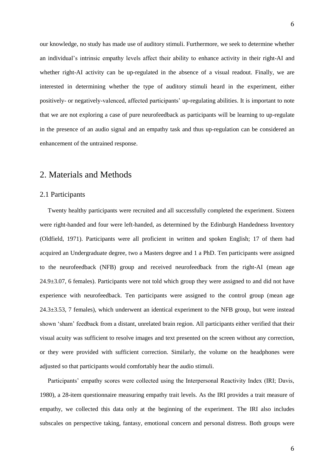our knowledge, no study has made use of auditory stimuli. Furthermore, we seek to determine whether an individual's intrinsic empathy levels affect their ability to enhance activity in their right-AI and whether right-AI activity can be up-regulated in the absence of a visual readout. Finally, we are interested in determining whether the type of auditory stimuli heard in the experiment, either positively- or negatively-valenced, affected participants' up-regulating abilities. It is important to note that we are not exploring a case of pure neurofeedback as participants will be learning to up-regulate in the presence of an audio signal and an empathy task and thus up-regulation can be considered an enhancement of the untrained response.

# 2. Materials and Methods

### 2.1 Participants

Twenty healthy participants were recruited and all successfully completed the experiment. Sixteen were right-handed and four were left-handed, as determined by the Edinburgh Handedness Inventory (Oldfield, 1971). Participants were all proficient in written and spoken English; 17 of them had acquired an Undergraduate degree, two a Masters degree and 1 a PhD. Ten participants were assigned to the neurofeedback (NFB) group and received neurofeedback from the right-AI (mean age  $24.9\pm3.07$ , 6 females). Participants were not told which group they were assigned to and did not have experience with neurofeedback. Ten participants were assigned to the control group (mean age 24.3±3.53, 7 females), which underwent an identical experiment to the NFB group, but were instead shown 'sham' feedback from a distant, unrelated brain region. All participants either verified that their visual acuity was sufficient to resolve images and text presented on the screen without any correction, or they were provided with sufficient correction. Similarly, the volume on the headphones were adjusted so that participants would comfortably hear the audio stimuli.

Participants' empathy scores were collected using the Interpersonal Reactivity Index (IRI; Davis, 1980), a 28-item questionnaire measuring empathy trait levels. As the IRI provides a trait measure of empathy, we collected this data only at the beginning of the experiment. The IRI also includes subscales on perspective taking, fantasy, emotional concern and personal distress. Both groups were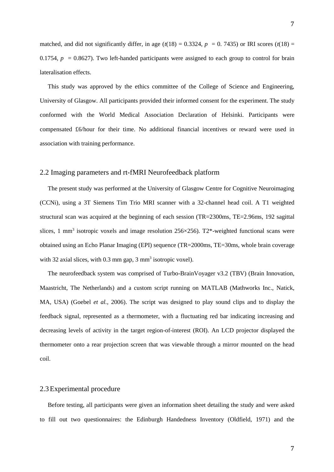matched, and did not significantly differ, in age  $(t(18) = 0.3324, p = 0.7435)$  or IRI scores  $(t(18) =$ 0.1754,  $p = 0.8627$ ). Two left-handed participants were assigned to each group to control for brain lateralisation effects.

This study was approved by the ethics committee of the College of Science and Engineering, University of Glasgow. All participants provided their informed consent for the experiment. The study conformed with the World Medical Association Declaration of Helsinki. Participants were compensated £6/hour for their time. No additional financial incentives or reward were used in association with training performance.

### 2.2 Imaging parameters and rt-fMRI Neurofeedback platform

The present study was performed at the University of Glasgow Centre for Cognitive Neuroimaging (CCNi), using a 3T Siemens Tim Trio MRI scanner with a 32-channel head coil. A T1 weighted structural scan was acquired at the beginning of each session (TR=2300ms, TE=2.96ms, 192 sagittal slices, 1 mm<sup>3</sup> isotropic voxels and image resolution 256 $\times$ 256). T2\*-weighted functional scans were obtained using an Echo Planar Imaging (EPI) sequence (TR=2000ms, TE=30ms, whole brain coverage with 32 axial slices, with  $0.3 \text{ mm}$  gap,  $3 \text{ mm}^3$  isotropic voxel).

The neurofeedback system was comprised of Turbo-BrainVoyager v3.2 (TBV) (Brain Innovation, Maastricht, The Netherlands) and a custom script running on MATLAB (Mathworks Inc., Natick, MA, USA) (Goebel *et al.*, 2006). The script was designed to play sound clips and to display the feedback signal, represented as a thermometer, with a fluctuating red bar indicating increasing and decreasing levels of activity in the target region-of-interest (ROI). An LCD projector displayed the thermometer onto a rear projection screen that was viewable through a mirror mounted on the head coil.

### 2.3Experimental procedure

Before testing, all participants were given an information sheet detailing the study and were asked to fill out two questionnaires: the Edinburgh Handedness Inventory (Oldfield, 1971) and the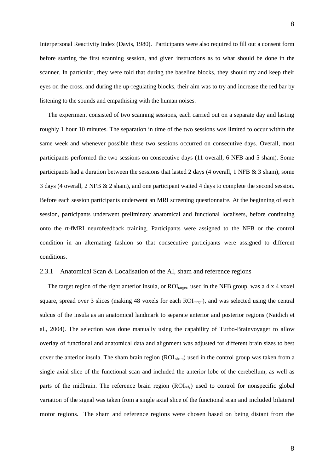Interpersonal Reactivity Index (Davis, 1980). Participants were also required to fill out a consent form before starting the first scanning session, and given instructions as to what should be done in the scanner. In particular, they were told that during the baseline blocks, they should try and keep their eyes on the cross, and during the up-regulating blocks, their aim was to try and increase the red bar by listening to the sounds and empathising with the human noises.

The experiment consisted of two scanning sessions, each carried out on a separate day and lasting roughly 1 hour 10 minutes. The separation in time of the two sessions was limited to occur within the same week and whenever possible these two sessions occurred on consecutive days. Overall, most participants performed the two sessions on consecutive days (11 overall, 6 NFB and 5 sham). Some participants had a duration between the sessions that lasted 2 days (4 overall, 1 NFB  $\&$  3 sham), some 3 days (4 overall, 2 NFB & 2 sham), and one participant waited 4 days to complete the second session. Before each session participants underwent an MRI screening questionnaire. At the beginning of each session, participants underwent preliminary anatomical and functional localisers, before continuing onto the rt-fMRI neurofeedback training. Participants were assigned to the NFB or the control condition in an alternating fashion so that consecutive participants were assigned to different conditions.

### 2.3.1 Anatomical Scan & Localisation of the AI, sham and reference regions

The target region of the right anterior insula, or  $ROI<sub>target</sub>$ , used in the NFB group, was a 4 x 4 voxel square, spread over 3 slices (making 48 voxels for each ROI<sub>target</sub>), and was selected using the central sulcus of the insula as an anatomical landmark to separate anterior and posterior regions (Naidich et al., 2004). The selection was done manually using the capability of Turbo-Brainvoyager to allow overlay of functional and anatomical data and alignment was adjusted for different brain sizes to best cover the anterior insula. The sham brain region (ROI sham) used in the control group was taken from a single axial slice of the functional scan and included the anterior lobe of the cerebellum, as well as parts of the midbrain. The reference brain region (ROI<sub>ref</sub>,) used to control for nonspecific global variation of the signal was taken from a single axial slice of the functional scan and included bilateral motor regions. The sham and reference regions were chosen based on being distant from the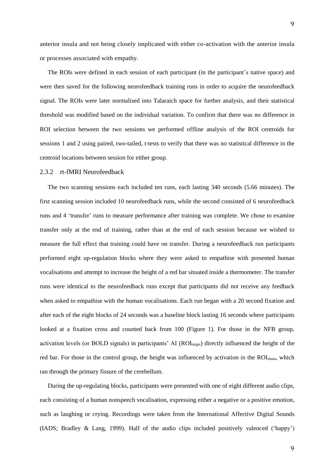anterior insula and not being closely implicated with either co-activation with the anterior insula or processes associated with empathy.

The ROIs were defined in each session of each participant (in the participant's native space) and were then saved for the following neurofeedback training runs in order to acquire the neurofeedback signal. The ROIs were later normalised into Talaraich space for further analysis, and their statistical threshold was modified based on the individual variation. To confirm that there was no difference in ROI selection between the two sessions we performed offline analysis of the ROI centroids for sessions 1 and 2 using paired, two-tailed, t-tests to verify that there was no statistical difference in the centroid locations between session for either group.

### 2.3.2 rt-fMRI Neurofeedback

The two scanning sessions each included ten runs, each lasting 340 seconds (5.66 minutes). The first scanning session included 10 neurofeedback runs, while the second consisted of 6 neurofeedback runs and 4 'transfer' runs to measure performance after training was complete. We chose to examine transfer only at the end of training, rather than at the end of each session because we wished to measure the full effect that training could have on transfer. During a neurofeedback run participants performed eight up-regulation blocks where they were asked to empathise with presented human vocalisations and attempt to increase the height of a red bar situated inside a thermometer. The transfer runs were identical to the neurofeedback runs except that participants did not receive any feedback when asked to empathise with the human vocalisations. Each run began with a 20 second fixation and after each of the eight blocks of 24 seconds was a baseline block lasting 16 seconds where participants looked at a fixation cross and counted back from 100 (Figure 1). For those in the NFB group, activation levels (or BOLD signals) in participants' AI (ROI<sub>target</sub>) directly influenced the height of the red bar. For those in the control group, the height was influenced by activation in the ROI<sub>sham</sub>, which ran through the primary fissure of the cerebellum.

During the up-regulating blocks, participants were presented with one of eight different audio clips, each consisting of a human nonspeech vocalisation, expressing either a negative or a positive emotion, such as laughing or crying. Recordings were taken from the International Affective Digital Sounds (IADS; Bradley & Lang, 1999). Half of the audio clips included positively valenced ('happy')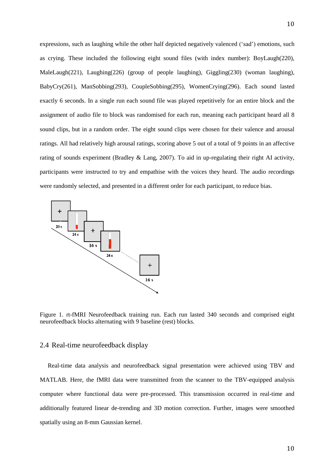expressions, such as laughing while the other half depicted negatively valenced ('sad') emotions, such as crying. These included the following eight sound files (with index number): BoyLaugh(220), MaleLaugh(221), Laughing(226) (group of people laughing), Giggling(230) (woman laughing), BabyCry(261), ManSobbing(293), CoupleSobbing(295), WomenCrying(296). Each sound lasted exactly 6 seconds. In a single run each sound file was played repetitively for an entire block and the assignment of audio file to block was randomised for each run, meaning each participant heard all 8 sound clips, but in a random order. The eight sound clips were chosen for their valence and arousal ratings. All had relatively high arousal ratings, scoring above 5 out of a total of 9 points in an affective rating of sounds experiment (Bradley & Lang, 2007). To aid in up-regulating their right AI activity, participants were instructed to try and empathise with the voices they heard. The audio recordings were randomly selected, and presented in a different order for each participant, to reduce bias.



Figure 1. rt-fMRI Neurofeedback training run. Each run lasted 340 seconds and comprised eight neurofeedback blocks alternating with 9 baseline (rest) blocks.

### 2.4 Real-time neurofeedback display

Real-time data analysis and neurofeedback signal presentation were achieved using TBV and MATLAB. Here, the fMRI data were transmitted from the scanner to the TBV-equipped analysis computer where functional data were pre-processed. This transmission occurred in real-time and additionally featured linear de-trending and 3D motion correction. Further, images were smoothed spatially using an 8-mm Gaussian kernel.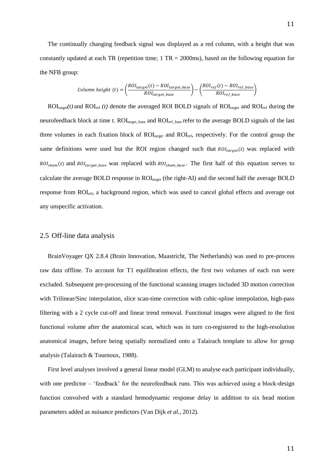The continually changing feedback signal was displayed as a red column, with a height that was constantly updated at each TR (repetition time;  $1 TR = 2000ms$ ), based on the following equation for the NFB group:

Column height (t) = 
$$
\left(\frac{ROI_{target}(t) - ROI_{target\_base}}{ROI_{target\_base}}\right) - \left(\frac{ROI_{ref}(t) - ROI_{ref\_base}}{ROI_{ref\_base}}\right)
$$

 $ROI<sub>target</sub>(t)$  and  $ROI<sub>ref</sub> (t)$  denote the averaged ROI BOLD signals of  $ROI<sub>target</sub>$  and  $ROI<sub>ref</sub>$  during the neurofeedback block at time t. ROI<sub>target\_base</sub> and ROI<sub>ref\_base</sub> refer to the average BOLD signals of the last three volumes in each fixation block of ROI<sub>target</sub> and ROI<sub>ref</sub>, respectively. For the control group the same definitions were used but the ROI region changed such that  $ROL_{target}(t)$  was replaced with  $ROI_{sham}(t)$  and  $ROI_{target\_base}$  was replaced with  $ROI_{sham\_base}$ . The first half of this equation serves to calculate the average BOLD response in ROI<sub>target</sub> (the right-AI) and the second half the average BOLD response from ROIref, a background region, which was used to cancel global effects and average out any unspecific activation.

### 2.5 Off-line data analysis

BrainVoyager QX 2.8.4 (Brain Innovation, Maastricht, The Netherlands) was used to pre-process raw data offline. To account for T1 equilibration effects, the first two volumes of each run were excluded. Subsequent pre-processing of the functional scanning images included 3D motion correction with Trilinear/Sinc interpolation, slice scan-time correction with cubic-spline interpolation, high-pass filtering with a 2 cycle cut-off and linear trend removal. Functional images were aligned to the first functional volume after the anatomical scan, which was in turn co-registered to the high-resolution anatomical images, before being spatially normalized onto a Talairach template to allow for group analysis (Talairach & Tournoux, 1988).

First level analyses involved a general linear model (GLM) to analyse each participant individually, with one predictor – 'feedback' for the neurofeedback runs. This was achieved using a block-design function convolved with a standard hemodynamic response delay in addition to six head motion parameters added as nuisance predictors (Van Dijk *et al.*, 2012).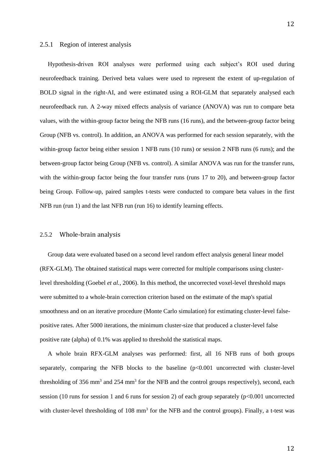### 2.5.1 Region of interest analysis

Hypothesis-driven ROI analyses were performed using each subject's ROI used during neurofeedback training. Derived beta values were used to represent the extent of up-regulation of BOLD signal in the right-AI, and were estimated using a ROI-GLM that separately analysed each neurofeedback run. A 2-way mixed effects analysis of variance (ANOVA) was run to compare beta values, with the within-group factor being the NFB runs (16 runs), and the between-group factor being Group (NFB vs. control). In addition, an ANOVA was performed for each session separately, with the within-group factor being either session 1 NFB runs (10 runs) or session 2 NFB runs (6 runs); and the between-group factor being Group (NFB vs. control). A similar ANOVA was run for the transfer runs, with the within-group factor being the four transfer runs (runs 17 to 20), and between-group factor being Group. Follow-up, paired samples t-tests were conducted to compare beta values in the first NFB run (run 1) and the last NFB run (run 16) to identify learning effects.

#### 2.5.2 Whole-brain analysis

Group data were evaluated based on a second level random effect analysis general linear model (RFX-GLM). The obtained statistical maps were corrected for multiple comparisons using clusterlevel thresholding (Goebel *et al.*, 2006). In this method, the uncorrected voxel-level threshold maps were submitted to a whole-brain correction criterion based on the estimate of the map's spatial smoothness and on an iterative procedure (Monte Carlo simulation) for estimating cluster-level falsepositive rates. After 5000 iterations, the minimum cluster-size that produced a cluster-level false positive rate (alpha) of 0.1% was applied to threshold the statistical maps.

A whole brain RFX-GLM analyses was performed: first, all 16 NFB runs of both groups separately, comparing the NFB blocks to the baseline  $(p<0.001$  uncorrected with cluster-level thresholding of 356 mm<sup>3</sup> and 254 mm<sup>3</sup> for the NFB and the control groups respectively), second, each session (10 runs for session 1 and 6 runs for session 2) of each group separately (p<0.001 uncorrected with cluster-level thresholding of 108 mm<sup>3</sup> for the NFB and the control groups). Finally, a t-test was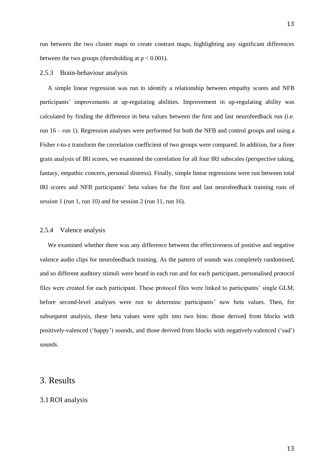run between the two cluster maps to create contrast maps, highlighting any significant differences between the two groups (thresholding at  $p < 0.001$ ).

### 2.5.3 Brain-behaviour analysis

A simple linear regression was run to identify a relationship between empathy scores and NFB participants' improvements at up-regulating abilities. Improvement in up-regulating ability was calculated by finding the difference in beta values between the first and last neurofeedback run (i.e. run 16 – run 1). Regression analyses were performed for both the NFB and control groups and using a Fisher r-to-z transform the correlation coefficient of two groups were compared. In addition, for a finer grain analysis of IRI scores, we examined the correlation for all four IRI subscales (perspective taking, fantasy, empathic concern, personal distress). Finally, simple linear regressions were run between total IRI scores and NFB participants' beta values for the first and last neurofeedback training runs of session 1 (run 1, run 10) and for session 2 (run 11, run 16).

### 2.5.4 Valence analysis

We examined whether there was any difference between the effectiveness of positive and negative valence audio clips for neurofeedback training. As the pattern of sounds was completely randomised, and so different auditory stimuli were heard in each run and for each participant, personalised protocol files were created for each participant. These protocol files were linked to participants' single GLM, before second-level analyses were run to determine participants' new beta values. Then, for subsequent analysis, these beta values were split into two bins: those derived from blocks with positively-valenced ('happy') sounds, and those derived from blocks with negatively-valenced ('sad') sounds.

# 3. Results

### 3.1ROI analysis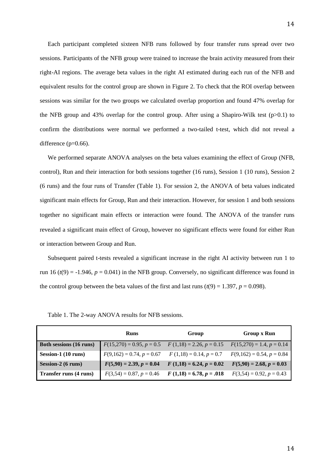Each participant completed sixteen NFB runs followed by four transfer runs spread over two sessions. Participants of the NFB group were trained to increase the brain activity measured from their right-AI regions. The average beta values in the right AI estimated during each run of the NFB and equivalent results for the control group are shown in Figure 2. To check that the ROI overlap between sessions was similar for the two groups we calculated overlap proportion and found 47% overlap for the NFB group and 43% overlap for the control group. After using a Shapiro-Wilk test ( $p>0.1$ ) to confirm the distributions were normal we performed a two-tailed t-test, which did not reveal a difference (p=0.66).

We performed separate ANOVA analyses on the beta values examining the effect of Group (NFB, control), Run and their interaction for both sessions together (16 runs), Session 1 (10 runs), Session 2 (6 runs) and the four runs of Transfer (Table 1). For session 2, the ANOVA of beta values indicated significant main effects for Group, Run and their interaction. However, for session 1 and both sessions together no significant main effects or interaction were found. The ANOVA of the transfer runs revealed a significant main effect of Group, however no significant effects were found for either Run or interaction between Group and Run.

Subsequent paired t-tests revealed a significant increase in the right AI activity between run 1 to run 16 ( $t(9) = -1.946$ ,  $p = 0.041$ ) in the NFB group. Conversely, no significant difference was found in the control group between the beta values of the first and last runs  $(t(9) = 1.397, p = 0.098)$ .

|                                | <b>Runs</b>                 | Group                      | <b>Group x Run</b>          |  |  |
|--------------------------------|-----------------------------|----------------------------|-----------------------------|--|--|
| <b>Both sessions (16 runs)</b> | $F(15,270) = 0.95, p = 0.5$ | $F(1,18) = 2.26, p = 0.15$ | $F(15,270) = 1.4, p = 0.14$ |  |  |
| Session-1 (10 runs)            | $F(9,162) = 0.74, p = 0.67$ | $F(1,18) = 0.14, p = 0.7$  | $F(9,162) = 0.54, p = 0.84$ |  |  |
| Session-2 (6 runs)             | $F(5,90) = 2.39, p = 0.04$  | $F(1,18) = 6.24, p = 0.02$ | $F(5,90) = 2.68, p = 0.03$  |  |  |
| Transfer runs (4 runs)         | $F(3,54) = 0.87, p = 0.46$  | $F(1,18) = 6.78, p = .018$ | $F(3,54) = 0.92, p = 0.43$  |  |  |

Table 1. The 2-way ANOVA results for NFB sessions.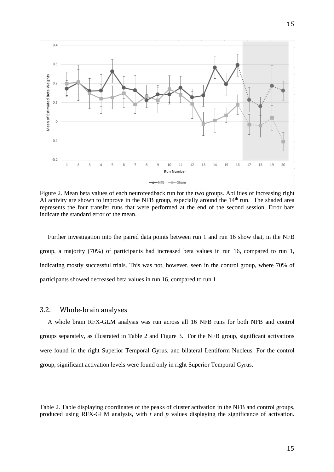

Figure 2. Mean beta values of each neurofeedback run for the two groups. Abilities of increasing right AI activity are shown to improve in the NFB group, especially around the  $14<sup>th</sup>$  run. The shaded area represents the four transfer runs that were performed at the end of the second session. Error bars indicate the standard error of the mean.

Further investigation into the paired data points between run 1 and run 16 show that, in the NFB group, a majority (70%) of participants had increased beta values in run 16, compared to run 1, indicating mostly successful trials. This was not, however, seen in the control group, where 70% of participants showed decreased beta values in run 16, compared to run 1.

### 3.2. Whole-brain analyses

A whole brain RFX-GLM analysis was run across all 16 NFB runs for both NFB and control groups separately, as illustrated in Table 2 and Figure 3. For the NFB group, significant activations were found in the right Superior Temporal Gyrus, and bilateral Lentiform Nucleus. For the control group, significant activation levels were found only in right Superior Temporal Gyrus.

Table 2. Table displaying coordinates of the peaks of cluster activation in the NFB and control groups, produced using RFX-GLM analysis, with *t* and *p* values displaying the significance of activation.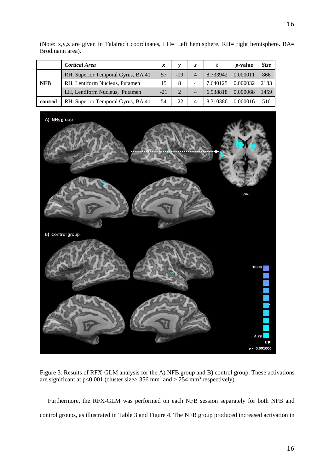|            | <b>Cortical Area</b>               | x     |        |                |          | <i>p</i> -value | Size |
|------------|------------------------------------|-------|--------|----------------|----------|-----------------|------|
| <b>NFB</b> | RH, Superior Temporal Gyrus, BA 41 | 57    | $-19$  | $\overline{4}$ | 8.733942 | 0.000011        | 866  |
|            | RH, Lentiform Nucleus, Putamen     | 15    | 8      | 4              | 7.640125 | 0.000032        | 2183 |
|            | LH, Lentiform Nucleus, Putamen     | $-21$ | 2      | $\overline{4}$ | 6.938818 | 0.000068        | 1459 |
| control    | RH, Superior Temporal Gyrus, BA 41 | 54    | $-2.2$ | 4              | 8.310386 | 0.000016        | 510  |

(Note: x,y,z are given in Talairach coordinates, LH= Left hemisphere. RH= right hemisphere. BA= Brodmann area).



Figure 3. Results of RFX-GLM analysis for the A) NFB group and B) control group. These activations are significant at  $p<0.001$  (cluster size> 356 mm<sup>3</sup> and > 254 mm<sup>3</sup> respectively).

Furthermore, the RFX-GLM was performed on each NFB session separately for both NFB and control groups, as illustrated in Table 3 and Figure 4. The NFB group produced increased activation in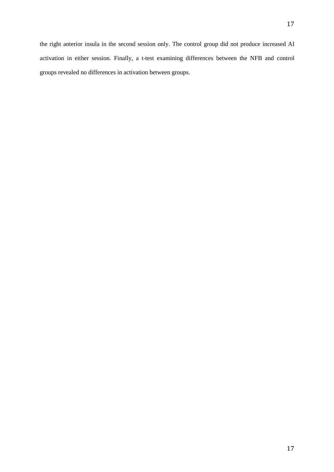the right anterior insula in the second session only. The control group did not produce increased AI activation in either session. Finally, a t-test examining differences between the NFB and control groups revealed no differences in activation between groups.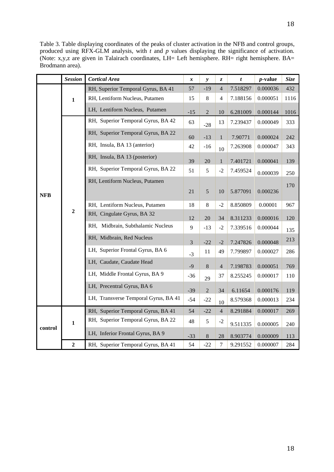Table 3. Table displaying coordinates of the peaks of cluster activation in the NFB and control groups, produced using RFX-GLM analysis, with *t* and *p* values displaying the significance of activation. (Note: x,y,z are given in Talairach coordinates, LH= Left hemisphere. RH= right hemisphere. BA= Brodmann area).

|            | <b>Session</b> | <b>Cortical Area</b>                 | $\pmb{\mathcal{X}}$ | $\mathbf{y}$   | Z,               | t        | $p$ -value | <b>Size</b> |
|------------|----------------|--------------------------------------|---------------------|----------------|------------------|----------|------------|-------------|
|            | $\mathbf{1}$   | RH, Superior Temporal Gyrus, BA 41   | 57                  | $-19$          | $\overline{4}$   | 7.518297 | 0.000036   | 432         |
|            |                | RH, Lentiform Nucleus, Putamen       | 15                  | 8              | $\overline{4}$   | 7.188156 | 0.000051   | 1116        |
|            |                | LH, Lentiform Nucleus, Putamen       | $-15$               | $\overline{2}$ | 10               | 6.281009 | 0.000144   | 1016        |
|            | $\mathbf 2$    | RH, Superior Temporal Gyrus, BA 42   | 63                  | $-28$          | 13               | 7.239437 | 0.000049   | 333         |
| <b>NFB</b> |                | RH, Superior Temporal Gyrus, BA 22   | 60                  | $-13$          | $\mathbf{1}$     | 7.90771  | 0.000024   | 242         |
|            |                | RH, Insula, BA 13 (anterior)         | 42                  | $-16$          | 10               | 7.263908 | 0.000047   | 343         |
|            |                | RH, Insula, BA 13 (posterior)        | 39                  | 20             | $\mathbf{1}$     | 7.401721 | 0.000041   | 139         |
|            |                | RH, Superior Temporal Gyrus, BA 22   | 51                  | 5              | $-2$             | 7.459524 | 0.000039   | 250         |
|            |                | RH, Lentiform Nucleus, Putamen       | 21                  | $\mathfrak{S}$ | 10               | 5.877091 | 0.000236   | 170         |
|            |                | RH, Lentiform Nucleus, Putamen       | 18                  | $\,8\,$        | $-2$             | 8.850809 | 0.00001    | 967         |
|            |                | RH, Cingulate Gyrus, BA 32           | 12                  | 20             | 34               | 8.311233 | 0.000016   | 120         |
|            |                | RH, Midbrain, Subthalamic Nucleus    | 9                   | $-13$          | $-2$             | 7.339516 | 0.000044   | 135         |
|            |                | RH, Midbrain, Red Nucleus            | $\overline{3}$      | $-22$          | $-2$             | 7.247826 | 0.000048   | 213         |
|            |                | LH, Superior Frontal Gyrus, BA 6     | $-3$                | 11             | 49               | 7.799897 | 0.000027   | 286         |
|            |                | LH, Caudate, Caudate Head            | $-9$                | 8              | $\overline{4}$   | 7.198783 | 0.000051   | 769         |
|            |                | LH, Middle Frontal Gyrus, BA 9       | $-36$               | 29             | 37               | 8.255245 | 0.000017   | 110         |
|            |                | LH, Precentral Gyrus, BA 6           | $-39$               | $\overline{2}$ | 34               | 6.11654  | 0.000176   | 119         |
|            |                | LH, Transverse Temporal Gyrus, BA 41 | $-54$               | $-22$          | 10               | 8.579368 | 0.000013   | 234         |
| control    | $\mathbf{1}$   | RH, Superior Temporal Gyrus, BA 41   | 54                  | $-22$          | $\overline{4}$   | 8.291884 | 0.000017   | 269         |
|            |                | RH, Superior Temporal Gyrus, BA 22   | 48                  | 5              | $-2$             | 9.511335 | 0.000005   | 240         |
|            |                | LH, Inferior Frontal Gyrus, BA 9     | $-33$               | $\,8\,$        | 28               | 8.903774 | 0.000009   | 113         |
|            | $\overline{2}$ | RH, Superior Temporal Gyrus, BA 41   | 54                  | $-22$          | $\boldsymbol{7}$ | 9.291552 | 0.000007   | 284         |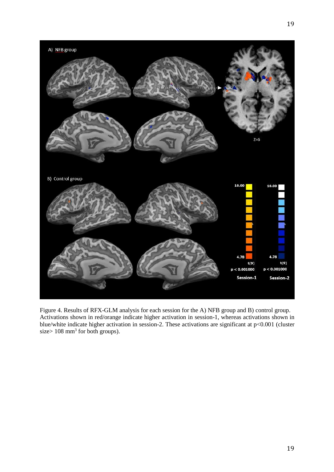

Figure 4. Results of RFX-GLM analysis for each session for the A) NFB group and B) control group. Activations shown in red/orange indicate higher activation in session-1, whereas activations shown in blue/white indicate higher activation in session-2. These activations are significant at p<0.001 (cluster size >  $108 \text{ mm}^3$  for both groups).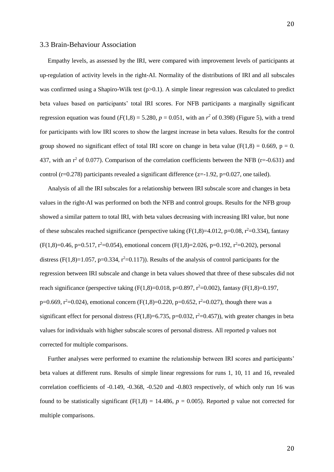### 3.3 Brain-Behaviour Association

Empathy levels, as assessed by the IRI, were compared with improvement levels of participants at up-regulation of activity levels in the right-AI. Normality of the distributions of IRI and all subscales was confirmed using a Shapiro-Wilk test  $(p>0.1)$ . A simple linear regression was calculated to predict beta values based on participants' total IRI scores. For NFB participants a marginally significant regression equation was found ( $F(1,8) = 5.280$ ,  $p = 0.051$ , with an  $r<sup>2</sup>$  of 0.398) (Figure 5), with a trend for participants with low IRI scores to show the largest increase in beta values. Results for the control group showed no significant effect of total IRI score on change in beta value ( $F(1,8) = 0.669$ ,  $p = 0$ . 437, with an  $r^2$  of 0.077). Comparison of the correlation coefficients between the NFB (r=-0.631) and control (r=0.278) participants revealed a significant difference (z=-1.92, p=0.027, one tailed).

Analysis of all the IRI subscales for a relationship between IRI subscale score and changes in beta values in the right-AI was performed on both the NFB and control groups. Results for the NFB group showed a similar pattern to total IRI, with beta values decreasing with increasing IRI value, but none of these subscales reached significance (perspective taking  $(F(1,8)=4.012, p=0.08, r^2=0.334)$ , fantasy  $(F(1,8)=0.46, p=0.517, r^2=0.054)$ , emotional concern  $(F(1,8)=2.026, p=0.192, r^2=0.202)$ , personal distress ( $F(1,8)=1.057$ ,  $p=0.334$ ,  $r^2=0.117$ )). Results of the analysis of control participants for the regression between IRI subscale and change in beta values showed that three of these subscales did not reach significance (perspective taking  $(F(1,8)=0.018, p=0.897, r^2=0.002)$ , fantasy  $(F(1,8)=0.197,$ p=0.669,  $r^2$ =0.024), emotional concern (F(1,8)=0.220, p=0.652,  $r^2$ =0.027), though there was a significant effect for personal distress ( $F(1,8)=6.735$ ,  $p=0.032$ ,  $r^2=0.457$ )), with greater changes in beta values for individuals with higher subscale scores of personal distress. All reported p values not corrected for multiple comparisons.

Further analyses were performed to examine the relationship between IRI scores and participants' beta values at different runs. Results of simple linear regressions for runs 1, 10, 11 and 16, revealed correlation coefficients of -0.149, -0.368, -0.520 and -0.803 respectively, of which only run 16 was found to be statistically significant ( $F(1,8) = 14.486$ ,  $p = 0.005$ ). Reported p value not corrected for multiple comparisons.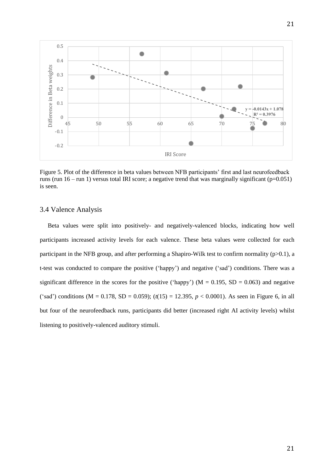

Figure 5. Plot of the difference in beta values between NFB participants' first and last neurofeedback runs (run  $16 -$  run 1) versus total IRI score; a negative trend that was marginally significant ( $p=0.051$ ) is seen.

## 3.4 Valence Analysis

Beta values were split into positively- and negatively-valenced blocks, indicating how well participants increased activity levels for each valence. These beta values were collected for each participant in the NFB group, and after performing a Shapiro-Wilk test to confirm normality (p>0.1), a t-test was conducted to compare the positive ('happy') and negative ('sad') conditions. There was a significant difference in the scores for the positive ('happy') ( $M = 0.195$ ,  $SD = 0.063$ ) and negative ('sad') conditions (M = 0.178, SD = 0.059);  $(t(15) = 12.395, p < 0.0001)$ . As seen in Figure 6, in all but four of the neurofeedback runs, participants did better (increased right AI activity levels) whilst listening to positively-valenced auditory stimuli.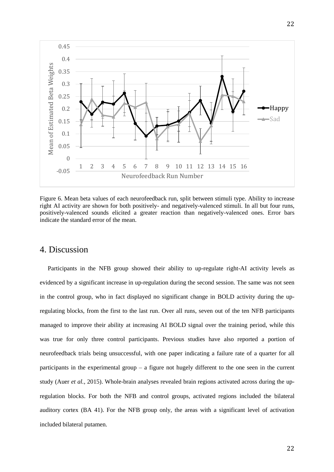

Figure 6. Mean beta values of each neurofeedback run, split between stimuli type. Ability to increase right AI activity are shown for both positively- and negatively-valenced stimuli. In all but four runs, positively-valenced sounds elicited a greater reaction than negatively-valenced ones. Error bars indicate the standard error of the mean.

# 4. Discussion

Participants in the NFB group showed their ability to up-regulate right-AI activity levels as evidenced by a significant increase in up-regulation during the second session. The same was not seen in the control group, who in fact displayed no significant change in BOLD activity during the upregulating blocks, from the first to the last run. Over all runs, seven out of the ten NFB participants managed to improve their ability at increasing AI BOLD signal over the training period, while this was true for only three control participants. Previous studies have also reported a portion of neurofeedback trials being unsuccessful, with one paper indicating a failure rate of a quarter for all participants in the experimental group – a figure not hugely different to the one seen in the current study (Auer *et al.*, 2015). Whole-brain analyses revealed brain regions activated across during the upregulation blocks. For both the NFB and control groups, activated regions included the bilateral auditory cortex (BA 41). For the NFB group only, the areas with a significant level of activation included bilateral putamen.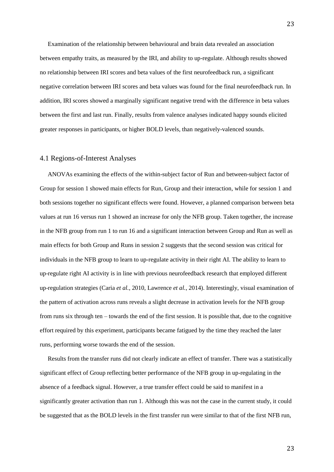Examination of the relationship between behavioural and brain data revealed an association between empathy traits, as measured by the IRI, and ability to up-regulate. Although results showed no relationship between IRI scores and beta values of the first neurofeedback run, a significant negative correlation between IRI scores and beta values was found for the final neurofeedback run. In addition, IRI scores showed a marginally significant negative trend with the difference in beta values between the first and last run. Finally, results from valence analyses indicated happy sounds elicited greater responses in participants, or higher BOLD levels, than negatively-valenced sounds.

### 4.1 Regions-of-Interest Analyses

ANOVAs examining the effects of the within-subject factor of Run and between-subject factor of Group for session 1 showed main effects for Run, Group and their interaction, while for session 1 and both sessions together no significant effects were found. However, a planned comparison between beta values at run 16 versus run 1 showed an increase for only the NFB group. Taken together, the increase in the NFB group from run 1 to run 16 and a significant interaction between Group and Run as well as main effects for both Group and Runs in session 2 suggests that the second session was critical for individuals in the NFB group to learn to up-regulate activity in their right AI. The ability to learn to up-regulate right AI activity is in line with previous neurofeedback research that employed different up-regulation strategies (Caria *et al.*, 2010, Lawrence *et al.*, 2014). Interestingly, visual examination of the pattern of activation across runs reveals a slight decrease in activation levels for the NFB group from runs six through ten – towards the end of the first session. It is possible that, due to the cognitive effort required by this experiment, participants became fatigued by the time they reached the later runs, performing worse towards the end of the session.

Results from the transfer runs did not clearly indicate an effect of transfer. There was a statistically significant effect of Group reflecting better performance of the NFB group in up-regulating in the absence of a feedback signal. However, a true transfer effect could be said to manifest in a significantly greater activation than run 1. Although this was not the case in the current study, it could be suggested that as the BOLD levels in the first transfer run were similar to that of the first NFB run,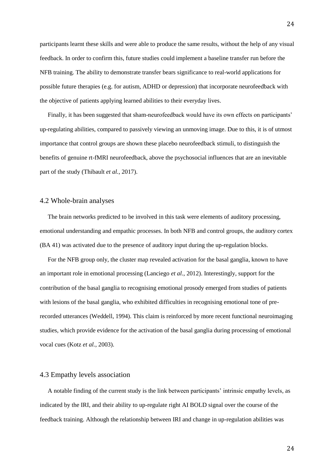participants learnt these skills and were able to produce the same results, without the help of any visual feedback. In order to confirm this, future studies could implement a baseline transfer run before the NFB training. The ability to demonstrate transfer bears significance to real-world applications for possible future therapies (e.g. for autism, ADHD or depression) that incorporate neurofeedback with the objective of patients applying learned abilities to their everyday lives.

Finally, it has been suggested that sham-neurofeedback would have its own effects on participants' up-regulating abilities, compared to passively viewing an unmoving image. Due to this, it is of utmost importance that control groups are shown these placebo neurofeedback stimuli, to distinguish the benefits of genuine rt-fMRI neurofeedback, above the psychosocial influences that are an inevitable part of the study (Thibault *et al.*, 2017).

### 4.2 Whole-brain analyses

The brain networks predicted to be involved in this task were elements of auditory processing, emotional understanding and empathic processes. In both NFB and control groups, the auditory cortex (BA 41) was activated due to the presence of auditory input during the up-regulation blocks.

For the NFB group only, the cluster map revealed activation for the basal ganglia, known to have an important role in emotional processing (Lanciego *et al.*, 2012). Interestingly, support for the contribution of the basal ganglia to recognising emotional prosody emerged from studies of patients with lesions of the basal ganglia, who exhibited difficulties in recognising emotional tone of prerecorded utterances (Weddell, 1994). This claim is reinforced by more recent functional neuroimaging studies, which provide evidence for the activation of the basal ganglia during processing of emotional vocal cues (Kotz *et al.*, 2003).

### 4.3 Empathy levels association

A notable finding of the current study is the link between participants' intrinsic empathy levels, as indicated by the IRI, and their ability to up-regulate right AI BOLD signal over the course of the feedback training. Although the relationship between IRI and change in up-regulation abilities was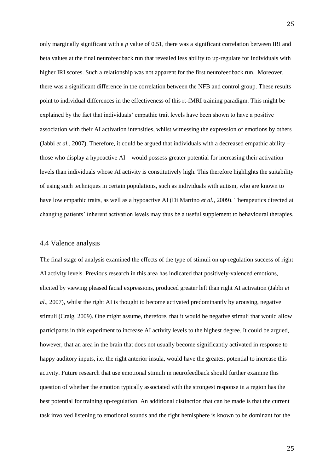only marginally significant with a *p* value of 0.51, there was a significant correlation between IRI and beta values at the final neurofeedback run that revealed less ability to up-regulate for individuals with higher IRI scores. Such a relationship was not apparent for the first neurofeedback run. Moreover, there was a significant difference in the correlation between the NFB and control group. These results point to individual differences in the effectiveness of this rt-fMRI training paradigm. This might be explained by the fact that individuals' empathic trait levels have been shown to have a positive association with their AI activation intensities, whilst witnessing the expression of emotions by others (Jabbi *et al.*, 2007). Therefore, it could be argued that individuals with a decreased empathic ability – those who display a hypoactive AI – would possess greater potential for increasing their activation levels than individuals whose AI activity is constitutively high. This therefore highlights the suitability of using such techniques in certain populations, such as individuals with autism, who are known to have low empathic traits, as well as a hypoactive AI (Di Martino *et al.*, 2009). Therapeutics directed at changing patients' inherent activation levels may thus be a useful supplement to behavioural therapies.

### 4.4 Valence analysis

The final stage of analysis examined the effects of the type of stimuli on up-regulation success of right AI activity levels. Previous research in this area has indicated that positively-valenced emotions, elicited by viewing pleased facial expressions, produced greater left than right AI activation (Jabbi *et al.*, 2007), whilst the right AI is thought to become activated predominantly by arousing, negative stimuli (Craig, 2009). One might assume, therefore, that it would be negative stimuli that would allow participants in this experiment to increase AI activity levels to the highest degree. It could be argued, however, that an area in the brain that does not usually become significantly activated in response to happy auditory inputs, i.e. the right anterior insula, would have the greatest potential to increase this activity. Future research that use emotional stimuli in neurofeedback should further examine this question of whether the emotion typically associated with the strongest response in a region has the best potential for training up-regulation. An additional distinction that can be made is that the current task involved listening to emotional sounds and the right hemisphere is known to be dominant for the

25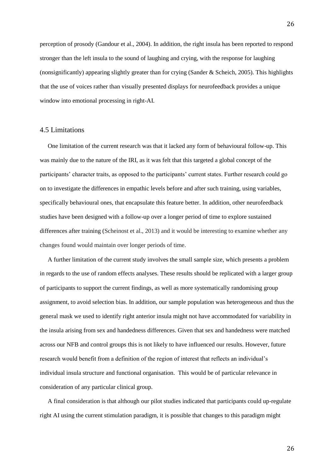perception of prosody (Gandour et al., 2004). In addition, the right insula has been reported to respond stronger than the left insula to the sound of laughing and crying, with the response for laughing (nonsignificantly) appearing slightly greater than for crying (Sander & Scheich, 2005). This highlights that the use of voices rather than visually presented displays for neurofeedback provides a unique window into emotional processing in right-AI.

### 4.5 Limitations

One limitation of the current research was that it lacked any form of behavioural follow-up. This was mainly due to the nature of the IRI, as it was felt that this targeted a global concept of the participants' character traits, as opposed to the participants' current states. Further research could go on to investigate the differences in empathic levels before and after such training, using variables, specifically behavioural ones, that encapsulate this feature better. In addition, other neurofeedback studies have been designed with a follow-up over a longer period of time to explore sustained differences after training (Scheinost et al., 2013) and it would be interesting to examine whether any changes found would maintain over longer periods of time.

A further limitation of the current study involves the small sample size, which presents a problem in regards to the use of random effects analyses. These results should be replicated with a larger group of participants to support the current findings, as well as more systematically randomising group assignment, to avoid selection bias. In addition, our sample population was heterogeneous and thus the general mask we used to identify right anterior insula might not have accommodated for variability in the insula arising from sex and handedness differences. Given that sex and handedness were matched across our NFB and control groups this is not likely to have influenced our results. However, future research would benefit from a definition of the region of interest that reflects an individual's individual insula structure and functional organisation. This would be of particular relevance in consideration of any particular clinical group.

A final consideration is that although our pilot studies indicated that participants could up-regulate right AI using the current stimulation paradigm, it is possible that changes to this paradigm might

26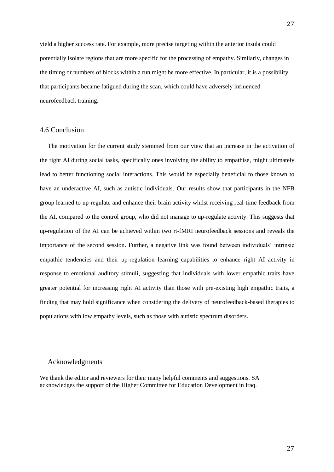yield a higher success rate. For example, more precise targeting within the anterior insula could potentially isolate regions that are more specific for the processing of empathy. Similarly, changes in the timing or numbers of blocks within a run might be more effective. In particular, it is a possibility that participants became fatigued during the scan, which could have adversely influenced neurofeedback training.

### 4.6 Conclusion

The motivation for the current study stemmed from our view that an increase in the activation of the right AI during social tasks, specifically ones involving the ability to empathise, might ultimately lead to better functioning social interactions. This would be especially beneficial to those known to have an underactive AI, such as autistic individuals. Our results show that participants in the NFB group learned to up-regulate and enhance their brain activity whilst receiving real-time feedback from the AI, compared to the control group, who did not manage to up-regulate activity. This suggests that up-regulation of the AI can be achieved within two rt-fMRI neurofeedback sessions and reveals the importance of the second session. Further, a negative link was found between individuals' intrinsic empathic tendencies and their up-regulation learning capabilities to enhance right AI activity in response to emotional auditory stimuli, suggesting that individuals with lower empathic traits have greater potential for increasing right AI activity than those with pre-existing high empathic traits, a finding that may hold significance when considering the delivery of neurofeedback-based therapies to populations with low empathy levels, such as those with autistic spectrum disorders.

### Acknowledgments

We thank the editor and reviewers for their many helpful comments and suggestions. SA acknowledges the support of the Higher Committee for Education Development in Iraq.

27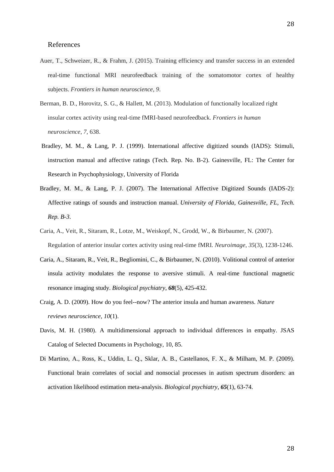### References

- Auer, T., Schweizer, R., & Frahm, J. (2015). Training efficiency and transfer success in an extended real-time functional MRI neurofeedback training of the somatomotor cortex of healthy subjects. *Frontiers in human neuroscience*, *9*.
- Berman, B. D., Horovitz, S. G., & Hallett, M. (2013). Modulation of functionally localized right insular cortex activity using real-time fMRI-based neurofeedback. *Frontiers in human neuroscience*, *7*, 638.
- Bradley, M. M., & Lang, P. J. (1999). International affective digitized sounds (IADS): Stimuli, instruction manual and affective ratings (Tech. Rep. No. B-2). Gainesville, FL: The Center for Research in Psychophysiology, University of Florida
- Bradley, M. M., & Lang, P. J. (2007). The International Affective Digitized Sounds (IADS-2): Affective ratings of sounds and instruction manual. *University of Florida, Gainesville, FL, Tech. Rep. B-3*.
- Caria, A., Veit, R., Sitaram, R., Lotze, M., Weiskopf, N., Grodd, W., & Birbaumer, N. (2007). Regulation of anterior insular cortex activity using real-time fMRI. *Neuroimage*, *35*(3), 1238-1246.
- Caria, A., Sitaram, R., Veit, R., Begliomini, C., & Birbaumer, N. (2010). Volitional control of anterior insula activity modulates the response to aversive stimuli. A real-time functional magnetic resonance imaging study. *Biological psychiatry*, *68*(5), 425-432.
- Craig, A. D. (2009). How do you feel--now? The anterior insula and human awareness. *Nature reviews neuroscience*, *10*(1).
- Davis, M. H. (1980). A multidimensional approach to individual differences in empathy. JSAS Catalog of Selected Documents in Psychology, 10, 85.
- Di Martino, A., Ross, K., Uddin, L. Q., Sklar, A. B., Castellanos, F. X., & Milham, M. P. (2009). Functional brain correlates of social and nonsocial processes in autism spectrum disorders: an activation likelihood estimation meta-analysis. *Biological psychiatry*, *65*(1), 63-74.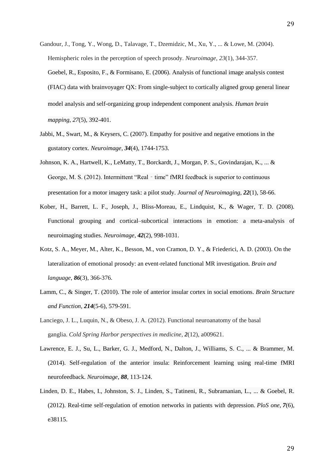- Gandour, J., Tong, Y., Wong, D., Talavage, T., Dzemidzic, M., Xu, Y., ... & Lowe, M. (2004). Hemispheric roles in the perception of speech prosody. *Neuroimage*, *23*(1), 344-357. Goebel, R., Esposito, F., & Formisano, E. (2006). Analysis of functional image analysis contest (FIAC) data with brainvoyager QX: From single‐subject to cortically aligned group general linear model analysis and self‐organizing group independent component analysis. *Human brain mapping*, *27*(5), 392-401.
- Jabbi, M., Swart, M., & Keysers, C. (2007). Empathy for positive and negative emotions in the gustatory cortex. *Neuroimage*, *34*(4), 1744-1753.
- Johnson, K. A., Hartwell, K., LeMatty, T., Borckardt, J., Morgan, P. S., Govindarajan, K., ... & George, M. S. (2012). Intermittent "Real - time" fMRI feedback is superior to continuous presentation for a motor imagery task: a pilot study. *Journal of Neuroimaging*, *22*(1), 58-66.
- Kober, H., Barrett, L. F., Joseph, J., Bliss-Moreau, E., Lindquist, K., & Wager, T. D. (2008). Functional grouping and cortical–subcortical interactions in emotion: a meta-analysis of neuroimaging studies. *Neuroimage*, *42*(2), 998-1031.
- Kotz, S. A., Meyer, M., Alter, K., Besson, M., von Cramon, D. Y., & Friederici, A. D. (2003). On the lateralization of emotional prosody: an event-related functional MR investigation. *Brain and language*, *86*(3), 366-376.
- Lamm, C., & Singer, T. (2010). The role of anterior insular cortex in social emotions. *Brain Structure and Function*, *214*(5-6), 579-591.
- Lanciego, J. L., Luquin, N., & Obeso, J. A. (2012). Functional neuroanatomy of the basal ganglia. *Cold Spring Harbor perspectives in medicine*, *2*(12), a009621.
- Lawrence, E. J., Su, L., Barker, G. J., Medford, N., Dalton, J., Williams, S. C., ... & Brammer, M. (2014). Self-regulation of the anterior insula: Reinforcement learning using real-time fMRI neurofeedback. *Neuroimage*, *88*, 113-124.
- Linden, D. E., Habes, I., Johnston, S. J., Linden, S., Tatineni, R., Subramanian, L., ... & Goebel, R. (2012). Real-time self-regulation of emotion networks in patients with depression. *PloS one*, *7*(6), e38115.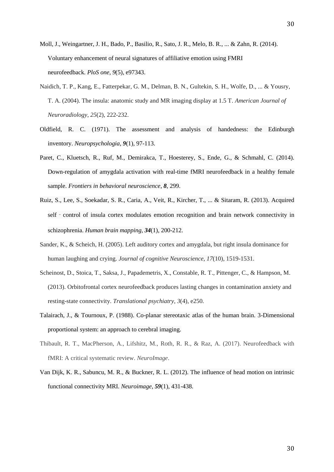Moll, J., Weingartner, J. H., Bado, P., Basilio, R., Sato, J. R., Melo, B. R., ... & Zahn, R. (2014). Voluntary enhancement of neural signatures of affiliative emotion using FMRI neurofeedback. *PloS one*, *9*(5), e97343.

- Naidich, T. P., Kang, E., Fatterpekar, G. M., Delman, B. N., Gultekin, S. H., Wolfe, D., ... & Yousry, T. A. (2004). The insula: anatomic study and MR imaging display at 1.5 T. *American Journal of Neuroradiology*, *25*(2), 222-232.
- Oldfield, R. C. (1971). The assessment and analysis of handedness: the Edinburgh inventory. *Neuropsychologia*, *9*(1), 97-113.
- Paret, C., Kluetsch, R., Ruf, M., Demirakca, T., Hoesterey, S., Ende, G., & Schmahl, C. (2014). Down-regulation of amygdala activation with real-time fMRI neurofeedback in a healthy female sample. *Frontiers in behavioral neuroscience*, *8*, 299.
- Ruiz, S., Lee, S., Soekadar, S. R., Caria, A., Veit, R., Kircher, T., ... & Sitaram, R. (2013). Acquired self - control of insula cortex modulates emotion recognition and brain network connectivity in schizophrenia. *Human brain mapping*, *34*(1), 200-212.
- Sander, K., & Scheich, H. (2005). Left auditory cortex and amygdala, but right insula dominance for human laughing and crying. *Journal of cognitive Neuroscience*, *17*(10), 1519-1531.
- Scheinost, D., Stoica, T., Saksa, J., Papademetris, X., Constable, R. T., Pittenger, C., & Hampson, M. (2013). Orbitofrontal cortex neurofeedback produces lasting changes in contamination anxiety and resting-state connectivity. *Translational psychiatry*, *3*(4), e250.
- Talairach, J., & Tournoux, P. (1988). Co-planar stereotaxic atlas of the human brain. 3-Dimensional proportional system: an approach to cerebral imaging.
- Thibault, R. T., MacPherson, A., Lifshitz, M., Roth, R. R., & Raz, A. (2017). Neurofeedback with fMRI: A critical systematic review. *NeuroImage*.
- Van Dijk, K. R., Sabuncu, M. R., & Buckner, R. L. (2012). The influence of head motion on intrinsic functional connectivity MRI. *Neuroimage*, *59*(1), 431-438.